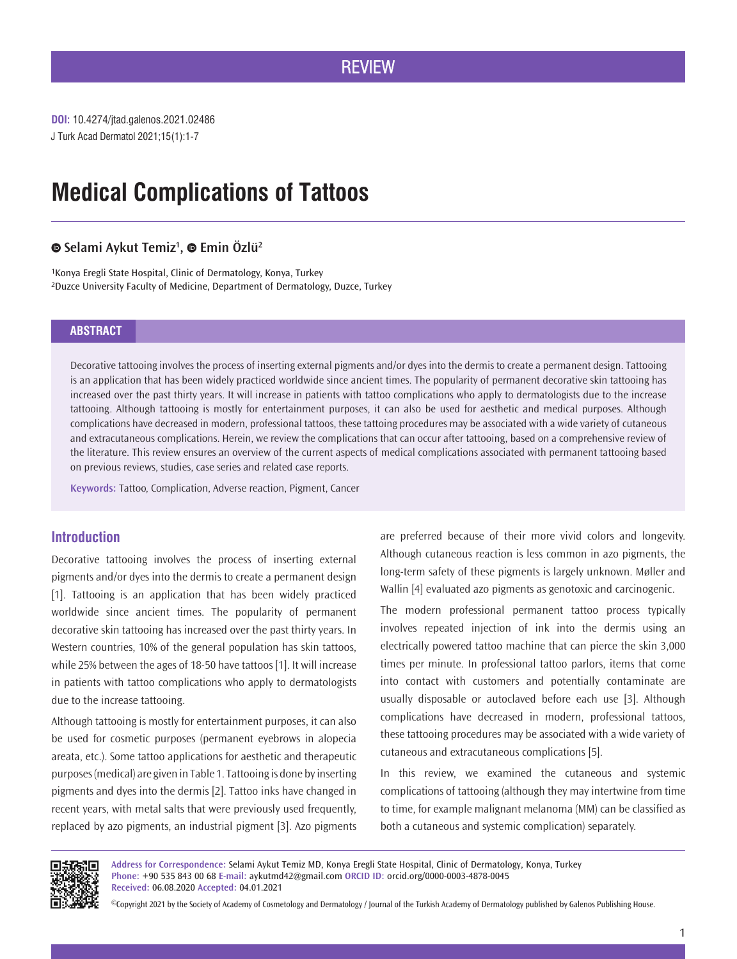## **REVIEW**

J Turk Acad Dermatol 2021;15(1):1-7 **DOI:** 10.4274/jtad.galenos.2021.02486

# **Medical Complications of Tattoos**

#### **Selami Aykut Temiz1 , Emin Özlü2**

1Konya Eregli State Hospital, Clinic of Dermatology, Konya, Turkey 2Duzce University Faculty of Medicine, Department of Dermatology, Duzce, Turkey

#### **ABSTRACT**

Decorative tattooing involves the process of inserting external pigments and/or dyes into the dermis to create a permanent design. Tattooing is an application that has been widely practiced worldwide since ancient times. The popularity of permanent decorative skin tattooing has increased over the past thirty years. It will increase in patients with tattoo complications who apply to dermatologists due to the increase tattooing. Although tattooing is mostly for entertainment purposes, it can also be used for aesthetic and medical purposes. Although complications have decreased in modern, professional tattoos, these tattoing procedures may be associated with a wide variety of cutaneous and extracutaneous complications. Herein, we review the complications that can occur after tattooing, based on a comprehensive review of the literature. This review ensures an overview of the current aspects of medical complications associated with permanent tattooing based on previous reviews, studies, case series and related case reports.

**Keywords:** Tattoo, Complication, Adverse reaction, Pigment, Cancer

#### **Introduction**

Decorative tattooing involves the process of inserting external pigments and/or dyes into the dermis to create a permanent design [1]. Tattooing is an application that has been widely practiced worldwide since ancient times. The popularity of permanent decorative skin tattooing has increased over the past thirty years. In Western countries, 10% of the general population has skin tattoos, while 25% between the ages of 18-50 have tattoos [1]. It will increase in patients with tattoo complications who apply to dermatologists due to the increase tattooing.

Although tattooing is mostly for entertainment purposes, it can also be used for cosmetic purposes (permanent eyebrows in alopecia areata, etc.). Some tattoo applications for aesthetic and therapeutic purposes (medical) are given in Table 1. Tattooing is done by inserting pigments and dyes into the dermis [2]. Tattoo inks have changed in recent years, with metal salts that were previously used frequently, replaced by azo pigments, an industrial pigment [3]. Azo pigments

are preferred because of their more vivid colors and longevity. Although cutaneous reaction is less common in azo pigments, the long-term safety of these pigments is largely unknown. Møller and Wallin [4] evaluated azo pigments as genotoxic and carcinogenic.

The modern professional permanent tattoo process typically involves repeated injection of ink into the dermis using an electrically powered tattoo machine that can pierce the skin 3,000 times per minute. In professional tattoo parlors, items that come into contact with customers and potentially contaminate are usually disposable or autoclaved before each use [3]. Although complications have decreased in modern, professional tattoos, these tattooing procedures may be associated with a wide variety of cutaneous and extracutaneous complications [5].

In this review, we examined the cutaneous and systemic complications of tattooing (although they may intertwine from time to time, for example malignant melanoma (MM) can be classified as both a cutaneous and systemic complication) separately.



**Address for Correspondence:** Selami Aykut Temiz MD, Konya Eregli State Hospital, Clinic of Dermatology, Konya, Turkey **Phone:** +90 535 843 00 68 **E-mail:** aykutmd42@gmail.com **ORCID ID:** orcid.org/0000-0003-4878-0045 **Received:** 06.08.2020 **Accepted:** 04.01.2021

©Copyright 2021 by the Society of Academy of Cosmetology and Dermatology / Journal of the Turkish Academy of Dermatology published by Galenos Publishing House.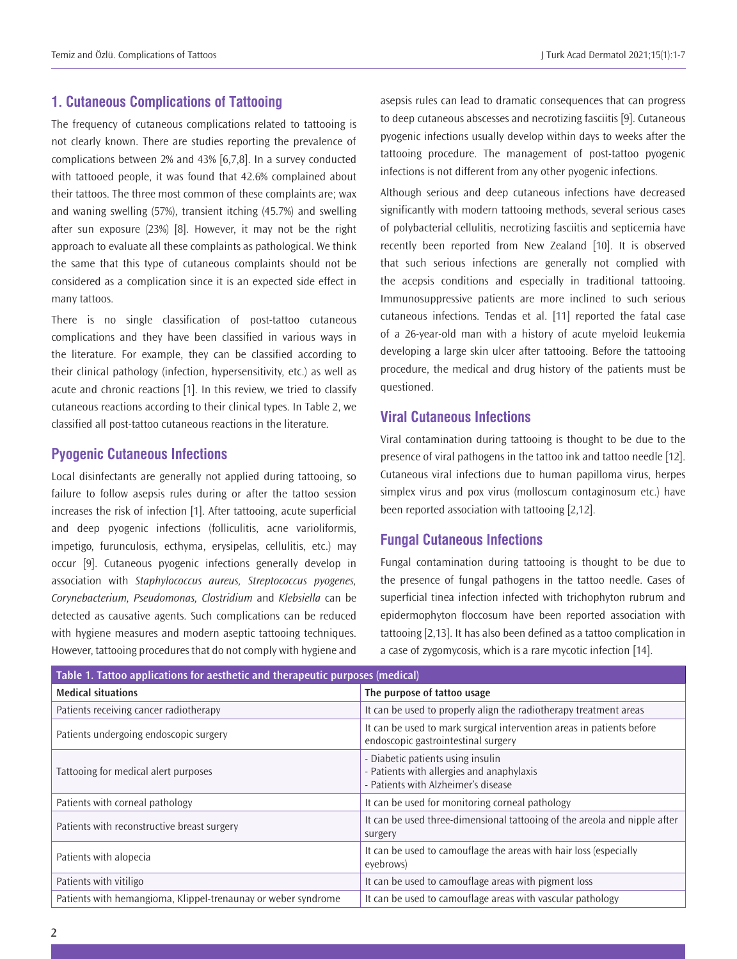## **1. Cutaneous Complications of Tattooing**

The frequency of cutaneous complications related to tattooing is not clearly known. There are studies reporting the prevalence of complications between 2% and 43% [6,7,8]. In a survey conducted with tattooed people, it was found that 42.6% complained about their tattoos. The three most common of these complaints are; wax and waning swelling (57%), transient itching (45.7%) and swelling after sun exposure (23%) [8]. However, it may not be the right approach to evaluate all these complaints as pathological. We think the same that this type of cutaneous complaints should not be considered as a complication since it is an expected side effect in many tattoos.

There is no single classification of post-tattoo cutaneous complications and they have been classified in various ways in the literature. For example, they can be classified according to their clinical pathology (infection, hypersensitivity, etc.) as well as acute and chronic reactions [1]. In this review, we tried to classify cutaneous reactions according to their clinical types. In Table 2, we classified all post-tattoo cutaneous reactions in the literature.

#### **Pyogenic Cutaneous Infections**

Local disinfectants are generally not applied during tattooing, so failure to follow asepsis rules during or after the tattoo session increases the risk of infection [1]. After tattooing, acute superficial and deep pyogenic infections (folliculitis, acne varioliformis, impetigo, furunculosis, ecthyma, erysipelas, cellulitis, etc.) may occur [9]. Cutaneous pyogenic infections generally develop in association with *Staphylococcus aureus, Streptococcus pyogenes, Corynebacterium, Pseudomonas, Clostridium* and *Klebsiella* can be detected as causative agents. Such complications can be reduced with hygiene measures and modern aseptic tattooing techniques. However, tattooing procedures that do not comply with hygiene and

asepsis rules can lead to dramatic consequences that can progress to deep cutaneous abscesses and necrotizing fasciitis [9]. Cutaneous pyogenic infections usually develop within days to weeks after the tattooing procedure. The management of post-tattoo pyogenic infections is not different from any other pyogenic infections.

Although serious and deep cutaneous infections have decreased significantly with modern tattooing methods, several serious cases of polybacterial cellulitis, necrotizing fasciitis and septicemia have recently been reported from New Zealand [10]. It is observed that such serious infections are generally not complied with the acepsis conditions and especially in traditional tattooing. Immunosuppressive patients are more inclined to such serious cutaneous infections. Tendas et al. [11] reported the fatal case of a 26-year-old man with a history of acute myeloid leukemia developing a large skin ulcer after tattooing. Before the tattooing procedure, the medical and drug history of the patients must be questioned.

## **Viral Cutaneous Infections**

Viral contamination during tattooing is thought to be due to the presence of viral pathogens in the tattoo ink and tattoo needle [12]. Cutaneous viral infections due to human papilloma virus, herpes simplex virus and pox virus (molloscum contaginosum etc.) have been reported association with tattooing [2,12].

#### **Fungal Cutaneous Infections**

Fungal contamination during tattooing is thought to be due to the presence of fungal pathogens in the tattoo needle. Cases of superficial tinea infection infected with trichophyton rubrum and epidermophyton floccosum have been reported association with tattooing [2,13]. It has also been defined as a tattoo complication in a case of zygomycosis, which is a rare mycotic infection [14].

| Table 1. Tattoo applications for aesthetic and therapeutic purposes (medical) |                                                                                                                       |  |
|-------------------------------------------------------------------------------|-----------------------------------------------------------------------------------------------------------------------|--|
| <b>Medical situations</b>                                                     | The purpose of tattoo usage                                                                                           |  |
| Patients receiving cancer radiotherapy                                        | It can be used to properly align the radiotherapy treatment areas                                                     |  |
| Patients undergoing endoscopic surgery                                        | It can be used to mark surgical intervention areas in patients before<br>endoscopic gastrointestinal surgery          |  |
| Tattooing for medical alert purposes                                          | - Diabetic patients using insulin<br>- Patients with allergies and anaphylaxis<br>- Patients with Alzheimer's disease |  |
| Patients with corneal pathology                                               | It can be used for monitoring corneal pathology                                                                       |  |
| Patients with reconstructive breast surgery                                   | It can be used three-dimensional tattooing of the areola and nipple after<br>surgery                                  |  |
| Patients with alopecia                                                        | It can be used to camouflage the areas with hair loss (especially<br>evebrows)                                        |  |
| Patients with vitiligo                                                        | It can be used to camouflage areas with pigment loss                                                                  |  |
| Patients with hemangioma, Klippel-trenaunay or weber syndrome                 | It can be used to camouflage areas with vascular pathology                                                            |  |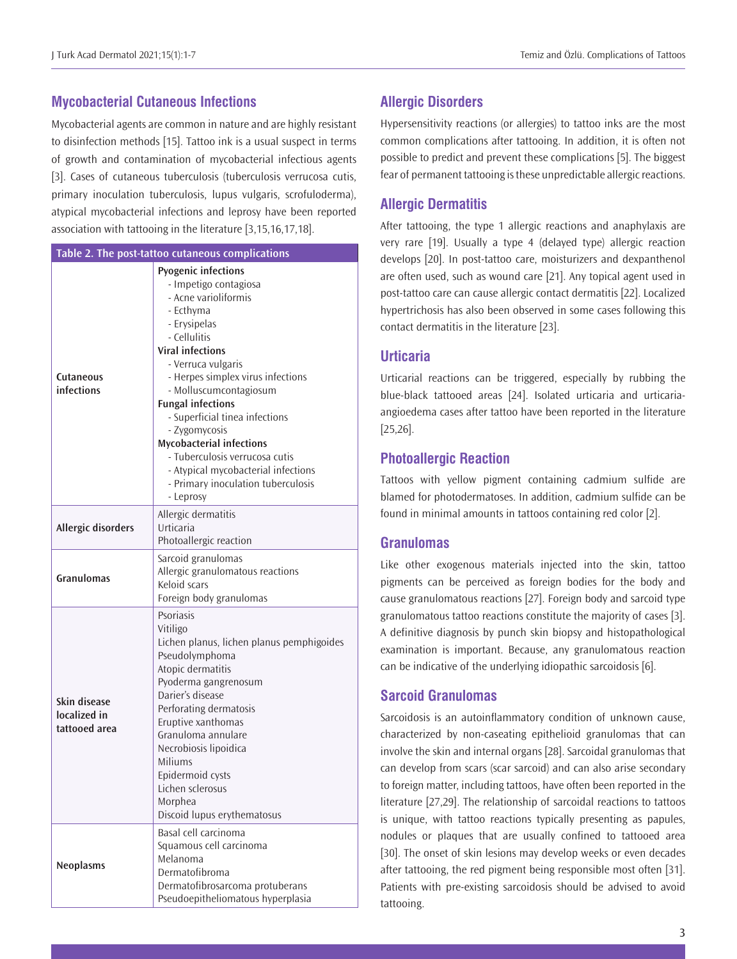#### **Mycobacterial Cutaneous Infections**

Mycobacterial agents are common in nature and are highly resistant to disinfection methods [15]. Tattoo ink is a usual suspect in terms of growth and contamination of mycobacterial infectious agents [3]. Cases of cutaneous tuberculosis (tuberculosis verrucosa cutis, primary inoculation tuberculosis, lupus vulgaris, scrofuloderma), atypical mycobacterial infections and leprosy have been reported association with tattooing in the literature [3,15,16,17,18].

| Table 2. The post-tattoo cutaneous complications |                                                                                                                                                                                                                                                                                                                                                                                                                                                                                        |  |
|--------------------------------------------------|----------------------------------------------------------------------------------------------------------------------------------------------------------------------------------------------------------------------------------------------------------------------------------------------------------------------------------------------------------------------------------------------------------------------------------------------------------------------------------------|--|
| Cutaneous<br>infections                          | <b>Pyogenic infections</b><br>- Impetigo contagiosa<br>- Acne varioliformis<br>- Ecthyma<br>- Erysipelas<br>- Cellulitis<br><b>Viral infections</b><br>- Verruca vulgaris<br>- Herpes simplex virus infections<br>- Molluscumcontagiosum<br><b>Fungal infections</b><br>- Superficial tinea infections<br>- Zygomycosis<br><b>Mycobacterial infections</b><br>- Tuberculosis verrucosa cutis<br>- Atypical mycobacterial infections<br>- Primary inoculation tuberculosis<br>- Leprosy |  |
| <b>Allergic disorders</b>                        | Allergic dermatitis<br>Urticaria<br>Photoallergic reaction                                                                                                                                                                                                                                                                                                                                                                                                                             |  |
| Granulomas                                       | Sarcoid granulomas<br>Allergic granulomatous reactions<br>Keloid scars<br>Foreign body granulomas                                                                                                                                                                                                                                                                                                                                                                                      |  |
| Skin disease<br>localized in<br>tattooed area    | Psoriasis<br>Vitiligo<br>Lichen planus, lichen planus pemphigoides<br>Pseudolymphoma<br>Atopic dermatitis<br>Pyoderma gangrenosum<br>Darier's disease<br>Perforating dermatosis<br>Eruptive xanthomas<br>Granuloma annulare<br>Necrobiosis lipoidica<br>Miliums<br>Epidermoid cysts<br>Lichen sclerosus<br>Morphea<br>Discoid lupus erythematosus                                                                                                                                      |  |
| <b>Neoplasms</b>                                 | Basal cell carcinoma<br>Squamous cell carcinoma<br>Melanoma<br>Dermatofibroma<br>Dermatofibrosarcoma protuberans<br>Pseudoepitheliomatous hyperplasia                                                                                                                                                                                                                                                                                                                                  |  |

## **Allergic Disorders**

Hypersensitivity reactions (or allergies) to tattoo inks are the most common complications after tattooing. In addition, it is often not possible to predict and prevent these complications [5]. The biggest fear of permanent tattooing is these unpredictable allergic reactions.

## **Allergic Dermatitis**

After tattooing, the type 1 allergic reactions and anaphylaxis are very rare [19]. Usually a type 4 (delayed type) allergic reaction develops [20]. In post-tattoo care, moisturizers and dexpanthenol are often used, such as wound care [21]. Any topical agent used in post-tattoo care can cause allergic contact dermatitis [22]. Localized hypertrichosis has also been observed in some cases following this contact dermatitis in the literature [23].

#### **Urticaria**

Urticarial reactions can be triggered, especially by rubbing the blue-black tattooed areas [24]. Isolated urticaria and urticariaangioedema cases after tattoo have been reported in the literature [25,26].

## **Photoallergic Reaction**

Tattoos with yellow pigment containing cadmium sulfide are blamed for photodermatoses. In addition, cadmium sulfide can be found in minimal amounts in tattoos containing red color [2].

#### **Granulomas**

Like other exogenous materials injected into the skin, tattoo pigments can be perceived as foreign bodies for the body and cause granulomatous reactions [27]. Foreign body and sarcoid type granulomatous tattoo reactions constitute the majority of cases [3]. A definitive diagnosis by punch skin biopsy and histopathological examination is important. Because, any granulomatous reaction can be indicative of the underlying idiopathic sarcoidosis [6].

## **Sarcoid Granulomas**

Sarcoidosis is an autoinflammatory condition of unknown cause, characterized by non-caseating epithelioid granulomas that can involve the skin and internal organs [28]. Sarcoidal granulomas that can develop from scars (scar sarcoid) and can also arise secondary to foreign matter, including tattoos, have often been reported in the literature [27,29]. The relationship of sarcoidal reactions to tattoos is unique, with tattoo reactions typically presenting as papules, nodules or plaques that are usually confined to tattooed area [30]. The onset of skin lesions may develop weeks or even decades after tattooing, the red pigment being responsible most often [31]. Patients with pre-existing sarcoidosis should be advised to avoid tattooing.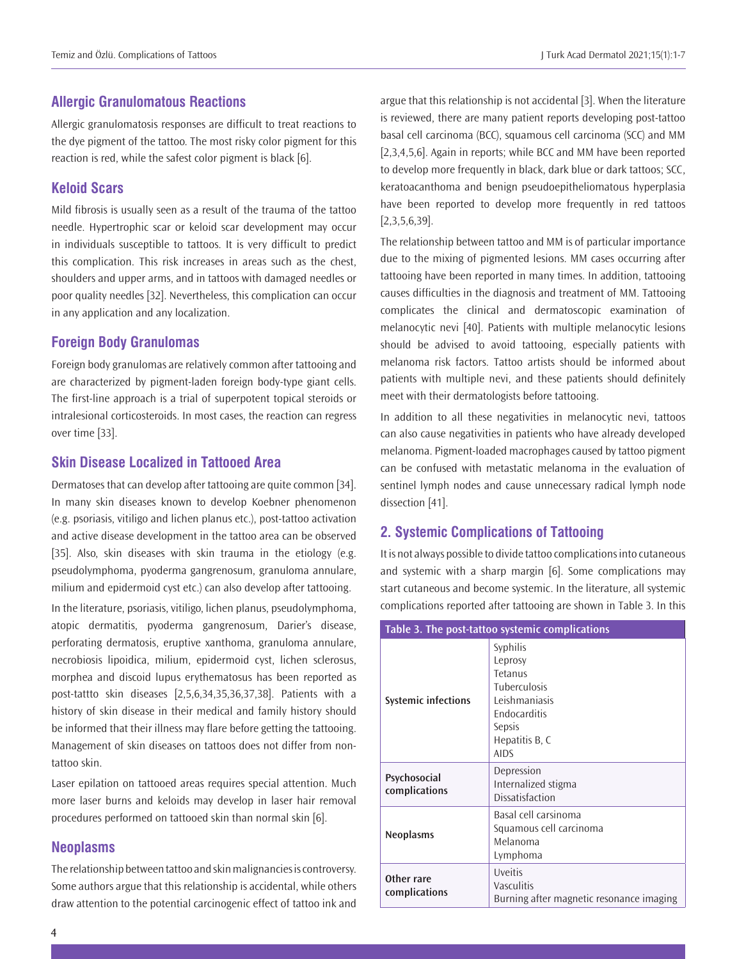#### **Allergic Granulomatous Reactions**

Allergic granulomatosis responses are difficult to treat reactions to the dye pigment of the tattoo. The most risky color pigment for this reaction is red, while the safest color pigment is black [6].

## **Keloid Scars**

Mild fibrosis is usually seen as a result of the trauma of the tattoo needle. Hypertrophic scar or keloid scar development may occur in individuals susceptible to tattoos. It is very difficult to predict this complication. This risk increases in areas such as the chest, shoulders and upper arms, and in tattoos with damaged needles or poor quality needles [32]. Nevertheless, this complication can occur in any application and any localization.

#### **Foreign Body Granulomas**

Foreign body granulomas are relatively common after tattooing and are characterized by pigment-laden foreign body-type giant cells. The first-line approach is a trial of superpotent topical steroids or intralesional corticosteroids. In most cases, the reaction can regress over time [33].

#### **Skin Disease Localized in Tattooed Area**

Dermatoses that can develop after tattooing are quite common [34]. In many skin diseases known to develop Koebner phenomenon (e.g. psoriasis, vitiligo and lichen planus etc.), post-tattoo activation and active disease development in the tattoo area can be observed [35]. Also, skin diseases with skin trauma in the etiology (e.g. pseudolymphoma, pyoderma gangrenosum, granuloma annulare, milium and epidermoid cyst etc.) can also develop after tattooing.

In the literature, psoriasis, vitiligo, lichen planus, pseudolymphoma, atopic dermatitis, pyoderma gangrenosum, Darier's disease, perforating dermatosis, eruptive xanthoma, granuloma annulare, necrobiosis lipoidica, milium, epidermoid cyst, lichen sclerosus, morphea and discoid lupus erythematosus has been reported as post-tattto skin diseases [2,5,6,34,35,36,37,38]. Patients with a history of skin disease in their medical and family history should be informed that their illness may flare before getting the tattooing. Management of skin diseases on tattoos does not differ from nontattoo skin.

Laser epilation on tattooed areas requires special attention. Much more laser burns and keloids may develop in laser hair removal procedures performed on tattooed skin than normal skin [6].

#### **Neoplasms**

The relationship between tattoo and skin malignancies is controversy. Some authors argue that this relationship is accidental, while others draw attention to the potential carcinogenic effect of tattoo ink and

argue that this relationship is not accidental [3]. When the literature is reviewed, there are many patient reports developing post-tattoo basal cell carcinoma (BCC), squamous cell carcinoma (SCC) and MM [2,3,4,5,6]. Again in reports; while BCC and MM have been reported to develop more frequently in black, dark blue or dark tattoos; SCC, keratoacanthoma and benign pseudoepitheliomatous hyperplasia have been reported to develop more frequently in red tattoos [2,3,5,6,39].

The relationship between tattoo and MM is of particular importance due to the mixing of pigmented lesions. MM cases occurring after tattooing have been reported in many times. In addition, tattooing causes difficulties in the diagnosis and treatment of MM. Tattooing complicates the clinical and dermatoscopic examination of melanocytic nevi [40]. Patients with multiple melanocytic lesions should be advised to avoid tattooing, especially patients with melanoma risk factors. Tattoo artists should be informed about patients with multiple nevi, and these patients should definitely meet with their dermatologists before tattooing.

In addition to all these negativities in melanocytic nevi, tattoos can also cause negativities in patients who have already developed melanoma. Pigment-loaded macrophages caused by tattoo pigment can be confused with metastatic melanoma in the evaluation of sentinel lymph nodes and cause unnecessary radical lymph node dissection [41].

#### **2. Systemic Complications of Tattooing**

It is not always possible to divide tattoo complications into cutaneous and systemic with a sharp margin [6]. Some complications may start cutaneous and become systemic. In the literature, all systemic complications reported after tattooing are shown in Table 3. In this

| Table 3. The post-tattoo systemic complications |                                                                                                                                          |
|-------------------------------------------------|------------------------------------------------------------------------------------------------------------------------------------------|
| <b>Systemic infections</b>                      | <b>Syphilis</b><br>Leprosy<br>Tetanus<br><b>Tuberculosis</b><br>Leishmaniasis<br>Endocarditis<br>Sepsis<br>Hepatitis B, C<br><b>AIDS</b> |
| Psychosocial<br>complications                   | Depression<br>Internalized stigma<br>Dissatisfaction                                                                                     |
| <b>Neoplasms</b>                                | Basal cell carsinoma<br>Squamous cell carcinoma<br>Melanoma<br>Lymphoma                                                                  |
| Other rare<br>complications                     | Uveitis<br>Vasculitis<br>Burning after magnetic resonance imaging                                                                        |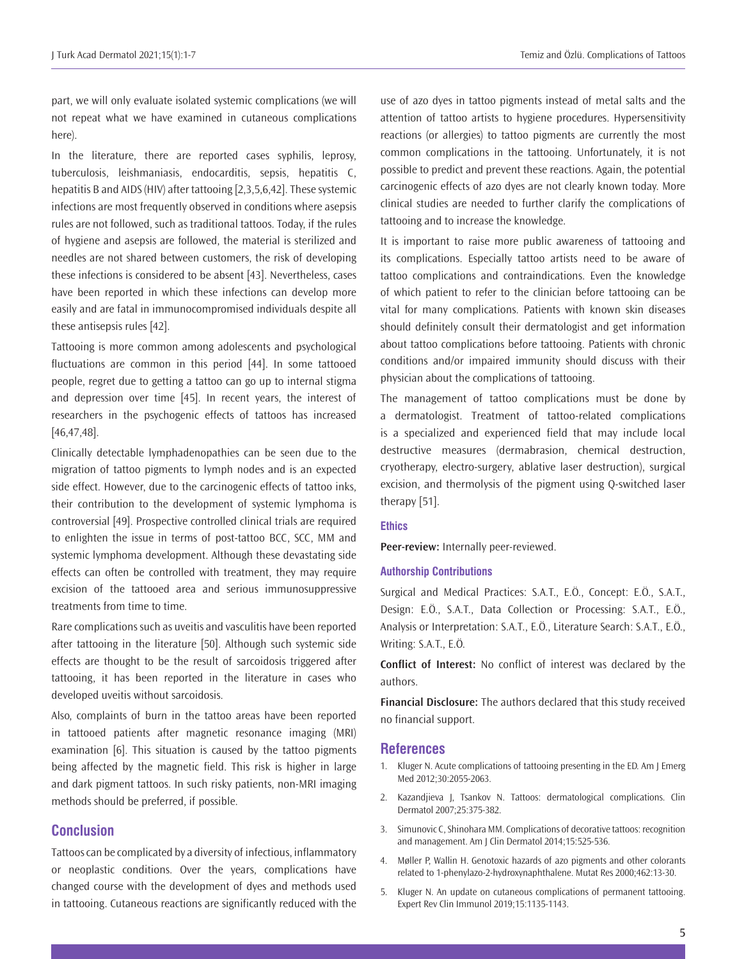part, we will only evaluate isolated systemic complications (we will not repeat what we have examined in cutaneous complications here).

In the literature, there are reported cases syphilis, leprosy, tuberculosis, leishmaniasis, endocarditis, sepsis, hepatitis C, hepatitis B and AIDS (HIV) after tattooing [2,3,5,6,42]. These systemic infections are most frequently observed in conditions where asepsis rules are not followed, such as traditional tattoos. Today, if the rules of hygiene and asepsis are followed, the material is sterilized and needles are not shared between customers, the risk of developing these infections is considered to be absent [43]. Nevertheless, cases have been reported in which these infections can develop more easily and are fatal in immunocompromised individuals despite all these antisepsis rules [42].

Tattooing is more common among adolescents and psychological fluctuations are common in this period [44]. In some tattooed people, regret due to getting a tattoo can go up to internal stigma and depression over time [45]. In recent years, the interest of researchers in the psychogenic effects of tattoos has increased [46,47,48].

Clinically detectable lymphadenopathies can be seen due to the migration of tattoo pigments to lymph nodes and is an expected side effect. However, due to the carcinogenic effects of tattoo inks, their contribution to the development of systemic lymphoma is controversial [49]. Prospective controlled clinical trials are required to enlighten the issue in terms of post-tattoo BCC, SCC, MM and systemic lymphoma development. Although these devastating side effects can often be controlled with treatment, they may require excision of the tattooed area and serious immunosuppressive treatments from time to time.

Rare complications such as uveitis and vasculitis have been reported after tattooing in the literature [50]. Although such systemic side effects are thought to be the result of sarcoidosis triggered after tattooing, it has been reported in the literature in cases who developed uveitis without sarcoidosis.

Also, complaints of burn in the tattoo areas have been reported in tattooed patients after magnetic resonance imaging (MRI) examination [6]. This situation is caused by the tattoo pigments being affected by the magnetic field. This risk is higher in large and dark pigment tattoos. In such risky patients, non-MRI imaging methods should be preferred, if possible.

#### **Conclusion**

Tattoos can be complicated by a diversity of infectious, inflammatory or neoplastic conditions. Over the years, complications have changed course with the development of dyes and methods used in tattooing. Cutaneous reactions are significantly reduced with the use of azo dyes in tattoo pigments instead of metal salts and the attention of tattoo artists to hygiene procedures. Hypersensitivity reactions (or allergies) to tattoo pigments are currently the most common complications in the tattooing. Unfortunately, it is not possible to predict and prevent these reactions. Again, the potential carcinogenic effects of azo dyes are not clearly known today. More clinical studies are needed to further clarify the complications of tattooing and to increase the knowledge.

It is important to raise more public awareness of tattooing and its complications. Especially tattoo artists need to be aware of tattoo complications and contraindications. Even the knowledge of which patient to refer to the clinician before tattooing can be vital for many complications. Patients with known skin diseases should definitely consult their dermatologist and get information about tattoo complications before tattooing. Patients with chronic conditions and/or impaired immunity should discuss with their physician about the complications of tattooing.

The management of tattoo complications must be done by a dermatologist. Treatment of tattoo-related complications is a specialized and experienced field that may include local destructive measures (dermabrasion, chemical destruction, cryotherapy, electro-surgery, ablative laser destruction), surgical excision, and thermolysis of the pigment using Q-switched laser therapy [51].

#### **Ethics**

**Peer-review:** Internally peer-reviewed.

#### **Authorship Contributions**

Surgical and Medical Practices: S.A.T., E.Ö., Concept: E.Ö., S.A.T., Design: E.Ö., S.A.T., Data Collection or Processing: S.A.T., E.Ö., Analysis or Interpretation: S.A.T., E.Ö., Literature Search: S.A.T., E.Ö., Writing: S.A.T., E.Ö.

**Conflict of Interest:** No conflict of interest was declared by the authors.

**Financial Disclosure:** The authors declared that this study received no financial support.

#### **References**

- 1. Kluger N. Acute complications of tattooing presenting in the ED. Am J Emerg Med 2012;30:2055-2063.
- 2. Kazandjieva J, Tsankov N. Tattoos: dermatological complications. Clin Dermatol 2007;25:375-382.
- 3. Simunovic C, Shinohara MM. Complications of decorative tattoos: recognition and management. Am J Clin Dermatol 2014;15:525-536.
- 4. Møller P, Wallin H. Genotoxic hazards of azo pigments and other colorants related to 1-phenylazo-2-hydroxynaphthalene. Mutat Res 2000;462:13-30.
- 5. Kluger N. An update on cutaneous complications of permanent tattooing. Expert Rev Clin Immunol 2019;15:1135-1143.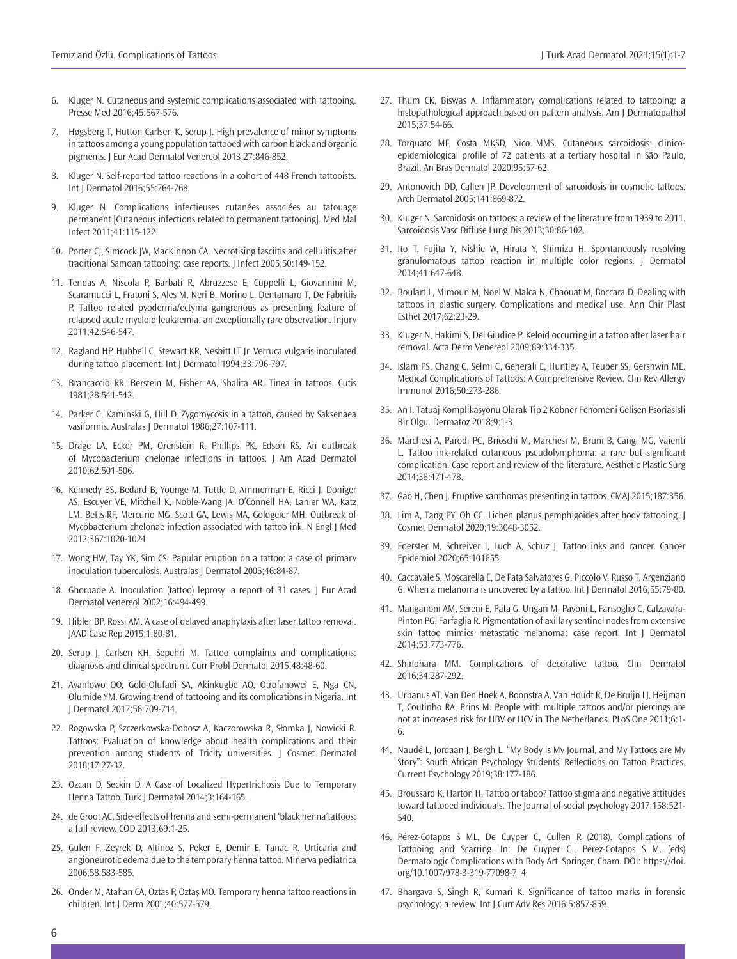- 6. Kluger N. Cutaneous and systemic complications associated with tattooing. Presse Med 2016;45:567-576.
- 7. Høgsberg T, Hutton Carlsen K, Serup J. High prevalence of minor symptoms in tattoos among a young population tattooed with carbon black and organic pigments. J Eur Acad Dermatol Venereol 2013;27:846-852.
- 8. Kluger N. Self-reported tattoo reactions in a cohort of 448 French tattooists. Int J Dermatol 2016;55:764-768.
- 9. Kluger N. Complications infectieuses cutanées associées au tatouage permanent [Cutaneous infections related to permanent tattooing]. Med Mal Infect 2011;41:115-122.
- 10. Porter CJ, Simcock JW, MacKinnon CA. Necrotising fasciitis and cellulitis after traditional Samoan tattooing: case reports. J Infect 2005;50:149-152.
- 11. Tendas A, Niscola P, Barbati R, Abruzzese E, Cuppelli L, Giovannini M, Scaramucci L, Fratoni S, Ales M, Neri B, Morino L, Dentamaro T, De Fabritiis P. Tattoo related pyoderma/ectyma gangrenous as presenting feature of relapsed acute myeloid leukaemia: an exceptionally rare observation. Injury 2011;42:546-547.
- 12. Ragland HP, Hubbell C, Stewart KR, Nesbitt LT Jr. Verruca vulgaris inoculated during tattoo placement. Int J Dermatol 1994;33:796-797.
- 13. Brancaccio RR, Berstein M, Fisher AA, Shalita AR. Tinea in tattoos. Cutis 1981;28:541-542.
- 14. Parker C, Kaminski G, Hill D. Zygomycosis in a tattoo, caused by Saksenaea vasiformis. Australas J Dermatol 1986;27:107-111.
- 15. Drage LA, Ecker PM, Orenstein R, Phillips PK, Edson RS. An outbreak of Mycobacterium chelonae infections in tattoos. J Am Acad Dermatol 2010;62:501-506.
- 16. Kennedy BS, Bedard B, Younge M, Tuttle D, Ammerman E, Ricci J, Doniger AS, Escuyer VE, Mitchell K, Noble-Wang JA, O'Connell HA, Lanier WA, Katz LM, Betts RF, Mercurio MG, Scott GA, Lewis MA, Goldgeier MH. Outbreak of Mycobacterium chelonae infection associated with tattoo ink. N Engl J Med 2012;367:1020-1024.
- 17. Wong HW, Tay YK, Sim CS. Papular eruption on a tattoo: a case of primary inoculation tuberculosis. Australas J Dermatol 2005;46:84-87.
- 18. Ghorpade A. Inoculation (tattoo) leprosy: a report of 31 cases. J Eur Acad Dermatol Venereol 2002;16:494-499.
- 19. Hibler BP, Rossi AM. A case of delayed anaphylaxis after laser tattoo removal. JAAD Case Rep 2015;1:80-81.
- 20. Serup J, Carlsen KH, Sepehri M. Tattoo complaints and complications: diagnosis and clinical spectrum. Curr Probl Dermatol 2015;48:48-60.
- 21. Ayanlowo OO, Gold-Olufadi SA, Akinkugbe AO, Otrofanowei E, Nga CN, Olumide YM. Growing trend of tattooing and its complications in Nigeria. Int J Dermatol 2017;56:709-714.
- 22. Rogowska P, Szczerkowska-Dobosz A, Kaczorowska R, Słomka J, Nowicki R. Tattoos: Evaluation of knowledge about health complications and their prevention among students of Tricity universities. J Cosmet Dermatol 2018;17:27-32.
- 23. Ozcan D, Seckin D. A Case of Localized Hypertrichosis Due to Temporary Henna Tattoo. Turk J Dermatol 2014;3:164-165.
- 24. de Groot AC. Side-effects of henna and semi-permanent 'black henna'tattoos: a full review. COD 2013;69:1-25.
- 25. Gulen F, Zeyrek D, Altinoz S, Peker E, Demir E, Tanac R. Urticaria and angioneurotic edema due to the temporary henna tattoo. Minerva pediatrica 2006;58:583-585.
- 26. Onder M, Atahan CA, Oztas P, Oztaș MO. Temporary henna tattoo reactions in children. Int J Derm 2001;40:577-579.
- 27. Thum CK, Biswas A. Inflammatory complications related to tattooing: a histopathological approach based on pattern analysis. Am J Dermatopathol 2015;37:54-66.
- 28. Torquato MF, Costa MKSD, Nico MMS. Cutaneous sarcoidosis: clinicoepidemiological profile of 72 patients at a tertiary hospital in São Paulo, Brazil. An Bras Dermatol 2020;95:57-62.
- 29. Antonovich DD, Callen JP. Development of sarcoidosis in cosmetic tattoos. Arch Dermatol 2005;141:869-872.
- 30. Kluger N. Sarcoidosis on tattoos: a review of the literature from 1939 to 2011. Sarcoidosis Vasc Diffuse Lung Dis 2013;30:86-102.
- 31. Ito T, Fujita Y, Nishie W, Hirata Y, Shimizu H. Spontaneously resolving granulomatous tattoo reaction in multiple color regions. J Dermatol 2014;41:647-648.
- 32. Boulart L, Mimoun M, Noel W, Malca N, Chaouat M, Boccara D. Dealing with tattoos in plastic surgery. Complications and medical use. Ann Chir Plast Esthet 2017;62:23-29.
- 33. Kluger N, Hakimi S, Del Giudice P. Keloid occurring in a tattoo after laser hair removal. Acta Derm Venereol 2009;89:334-335.
- 34. Islam PS, Chang C, Selmi C, Generali E, Huntley A, Teuber SS, Gershwin ME. Medical Complications of Tattoos: A Comprehensive Review. Clin Rev Allergy Immunol 2016;50:273-286.
- 35. An İ. Tatuaj Komplikasyonu Olarak Tip 2 Köbner Fenomeni Gelişen Psoriasisli Bir Olgu. Dermatoz 2018;9:1-3.
- 36. Marchesi A, Parodi PC, Brioschi M, Marchesi M, Bruni B, Cangi MG, Vaienti L. Tattoo ink-related cutaneous pseudolymphoma: a rare but significant complication. Case report and review of the literature. Aesthetic Plastic Surg 2014;38:471-478.
- 37. Gao H, Chen J. Eruptive xanthomas presenting in tattoos. CMAJ 2015;187:356.
- 38. Lim A, Tang PY, Oh CC. Lichen planus pemphigoides after body tattooing. J Cosmet Dermatol 2020;19:3048-3052.
- 39. Foerster M, Schreiver I, Luch A, Schüz J. Tattoo inks and cancer. Cancer Epidemiol 2020;65:101655.
- 40. Caccavale S, Moscarella E, De Fata Salvatores G, Piccolo V, Russo T, Argenziano G. When a melanoma is uncovered by a tattoo. Int J Dermatol 2016;55:79-80.
- 41. Manganoni AM, Sereni E, Pata G, Ungari M, Pavoni L, Farisoglio C, Calzavara-Pinton PG, Farfaglia R. Pigmentation of axillary sentinel nodes from extensive skin tattoo mimics metastatic melanoma: case report. Int J Dermatol 2014;53:773-776.
- 42. Shinohara MM. Complications of decorative tattoo. Clin Dermatol 2016;34:287-292.
- 43. Urbanus AT, Van Den Hoek A, Boonstra A, Van Houdt R, De Bruijn LJ, Heijman T, Coutinho RA, Prins M. People with multiple tattoos and/or piercings are not at increased risk for HBV or HCV in The Netherlands. PLoS One 2011;6:1- 6.
- 44. Naudé L, Jordaan J, Bergh L. "My Body is My Journal, and My Tattoos are My Story": South African Psychology Students' Reflections on Tattoo Practices. Current Psychology 2019;38:177-186.
- 45. Broussard K, Harton H. Tattoo or taboo? Tattoo stigma and negative attitudes toward tattooed individuals. The Journal of social psychology 2017;158:521- 540.
- 46. Pérez-Cotapos S ML, De Cuyper C, Cullen R (2018). Complications of Tattooing and Scarring. In: De Cuyper C., Pérez-Cotapos S M. (eds) Dermatologic Complications with Body Art. Springer, Cham. DOI: https://doi. org/10.1007/978-3-319-77098-7\_4
- 47. Bhargava S, Singh R, Kumari K. Significance of tattoo marks in forensic psychology: a review. Int J Curr Adv Res 2016;5:857-859.